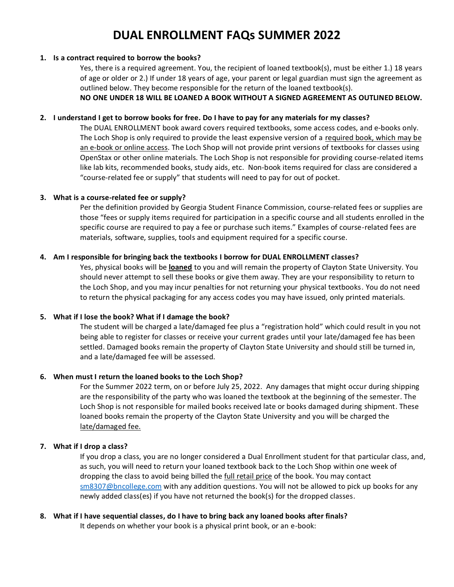# **DUAL ENROLLMENT FAQs SUMMER 2022**

#### **1. Is a contract required to borrow the books?**

Yes, there is a required agreement. You, the recipient of loaned textbook(s), must be either 1.) 18 years of age or older or 2.) If under 18 years of age, your parent or legal guardian must sign the agreement as outlined below. They become responsible for the return of the loaned textbook(s).

**NO ONE UNDER 18 WILL BE LOANED A BOOK WITHOUT A SIGNED AGREEMENT AS OUTLINED BELOW.** 

## **2. I understand I get to borrow books for free. Do I have to pay for any materials for my classes?**

The DUAL ENROLLMENT book award covers required textbooks, some access codes, and e-books only. The Loch Shop is only required to provide the least expensive version of a required book, which may be an e-book or online access. The Loch Shop will not provide print versions of textbooks for classes using OpenStax or other online materials. The Loch Shop is not responsible for providing course-related items like lab kits, recommended books, study aids, etc. Non-book items required for class are considered a "course-related fee or supply" that students will need to pay for out of pocket.

## **3. What is a course-related fee or supply?**

Per the definition provided by Georgia Student Finance Commission, course-related fees or supplies are those "fees or supply items required for participation in a specific course and all students enrolled in the specific course are required to pay a fee or purchase such items." Examples of course-related fees are materials, software, supplies, tools and equipment required for a specific course.

### **4. Am I responsible for bringing back the textbooks I borrow for DUAL ENROLLMENT classes?**

Yes, physical books will be **loaned** to you and will remain the property of Clayton State University. You should never attempt to sell these books or give them away. They are your responsibility to return to the Loch Shop, and you may incur penalties for not returning your physical textbooks. You do not need to return the physical packaging for any access codes you may have issued, only printed materials.

## **5. What if I lose the book? What if I damage the book?**

The student will be charged a late/damaged fee plus a "registration hold" which could result in you not being able to register for classes or receive your current grades until your late/damaged fee has been settled. Damaged books remain the property of Clayton State University and should still be turned in, and a late/damaged fee will be assessed.

#### **6. When must I return the loaned books to the Loch Shop?**

For the Summer 2022 term, on or before July 25, 2022. Any damages that might occur during shipping are the responsibility of the party who was loaned the textbook at the beginning of the semester. The Loch Shop is not responsible for mailed books received late or books damaged during shipment. These loaned books remain the property of the Clayton State University and you will be charged the late/damaged fee.

## **7. What if I drop a class?**

If you drop a class, you are no longer considered a Dual Enrollment student for that particular class, and, as such, you will need to return your loaned textbook back to the Loch Shop within one week of dropping the class to avoid being billed the full retail price of the book. You may contact sm8307@bncollege.com with any addition questions. You will not be allowed to pick up books for any newly added class(es) if you have not returned the book(s) for the dropped classes.

# **8. What if I have sequential classes, do I have to bring back any loaned books after finals?**

It depends on whether your book is a physical print book, or an e-book: